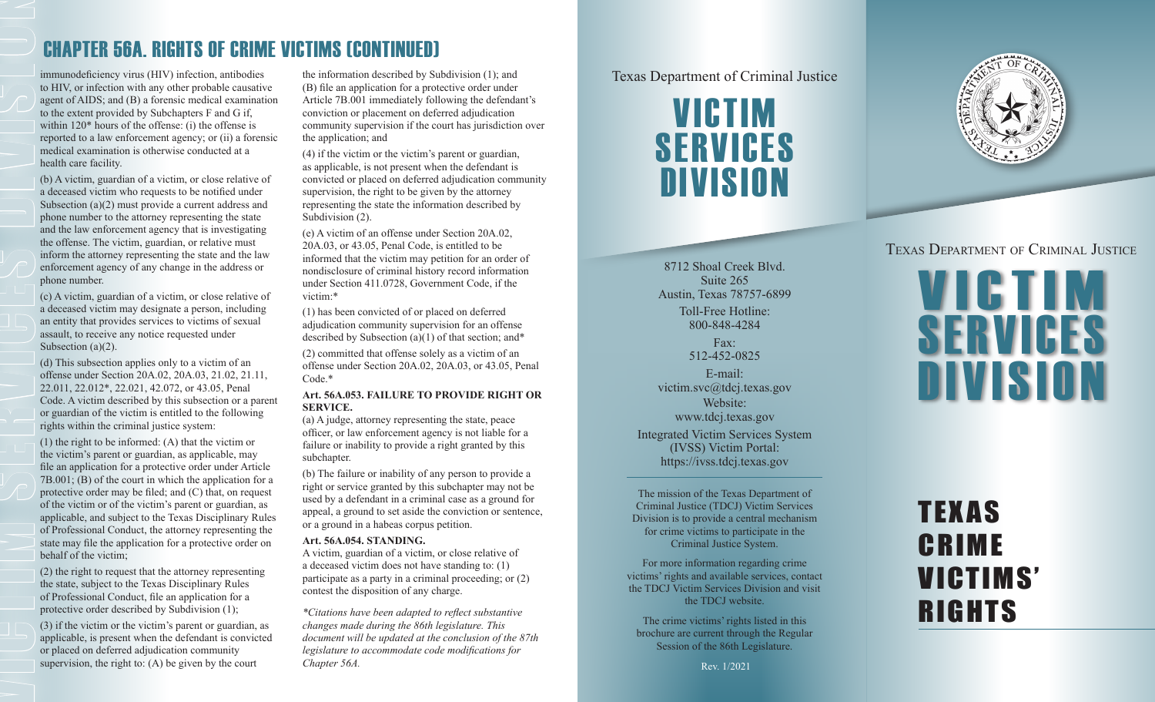### CHAPTER 56A. RIGHTS OF CRIME VICTIMS (CONTINUED)

immunodeficiency virus (HIV) infection, antibodies the information described by Subdivision (1); and<br>to HIV, or infection with any other probable causative (B) file an application for a protective order under agent of AIDS; and (B) a forensic medical examination to the extent provided by Subchapters F and G if, within 120\* hours of the offense: (i) the offense is reported to a law enforcement agency; or (ii) a forensic medical examination is otherwise conducted at a health care facility.

(b) A victim, guardian of a victim, or close relative of a deceased victim who requests to be notified under Subsection (a)(2) must provide a current address and phone number to the attorney representing the state and the law enforcement agency that is investigating the offense. The victim, guardian, or relative must inform the attorney representing the state and the law enforcement agency of any change in the address or phone number.

(c) A victim, guardian of a victim, or close relative of a deceased victim may designate a person, including an entity that provides services to victims of sexual assault, to receive any notice requested under Subsection (a)(2).

(d) This subsection applies only to a victim of an offense under Section 20A.02, 20A.03, 21.02, 21.11, 22.011, 22.012\*, 22.021, 42.072, or 43.05, Penal Code. A victim described by this subsection or a parent or guardian of the victim is entitled to the following rights within the criminal justice system:

(1) the right to be informed: (A) that the victim or the victim's parent or guardian, as applicable, may file an application for a protective order under Article  $7B.001$ ; (B) of the court in which the application for a protective order may be filed; and (C) that, on request of the victim or of the victim's parent or guardian, as applicable, and subject to the Texas Disciplinary Rules of Professional Conduct, the attorney representing the state may file the application for a protective order on behalf of the victim;

(2) the right to request that the attorney representing the state, subject to the Texas Disciplinary Rules of Professional Conduct, file an application for a protective order described by Subdivision (1);

(3) if the victim or the victim's parent or guardian, as applicable, is present when the defendant is convicted or placed on deferred adjudication community supervision, the right to: (A) be given by the court

the information described by Subdivision (1); and (B) file an application for a protective order under Article 7B.001 immediately following the defendant's conviction or placement on deferred adjudication community supervision if the court has jurisdiction over the application; and

(4) if the victim or the victim's parent or guardian, as applicable, is not present when the defendant is convicted or placed on deferred adjudication community supervision, the right to be given by the attorney representing the state the information described by Subdivision  $(2)$ .

(e) A victim of an offense under Section 20A.02, 20A.03, or 43.05, Penal Code, is entitled to be informed that the victim may petition for an order of nondisclosure of criminal history record information under Section 411.0728, Government Code, if the victim:\*

(1) has been convicted of or placed on deferred adjudication community supervision for an offense described by Subsection (a)(1) of that section; and\* (2) committed that offense solely as a victim of an offense under Section 20A.02, 20A.03, or 43.05, Penal Code.\*

### **Art. 56A.053. FAILURE TO PROVIDE RIGHT OR SERVICE.**

(a) A judge, attorney representing the state, peace officer, or law enforcement agency is not liable for a failure or inability to provide a right granted by this subchapter.

(b) The failure or inability of any person to provide a right or service granted by this subchapter may not be used by a defendant in a criminal case as a ground for appeal, a ground to set aside the conviction or sentence, or a ground in a habeas corpus petition.

### **Art. 56A.054. STANDING.**

A victim, guardian of a victim, or close relative of a deceased victim does not have standing to: (1) participate as a party in a criminal proceeding; or (2) contest the disposition of any charge.

*\*Citations have been adapted to reflect substantive changes made during the 86th legislature. This document will be updated at the conclusion of the 87th legislature to accommodate code modifications for Chapter 56A.* Rev. 1/2021



8712 Shoal Creek Blvd. Suite 265 Austin, Texas 78757-6899 Toll-Free Hotline: 800-848-4284

> Fax: 512-452-0825

E-mail: victim.svc@tdcj.texas.gov Website: www.tdcj.texas.gov Integrated Victim Services System (IVSS) Victim Portal: https://ivss.tdcj.texas.gov

The mission of the Texas Department of Criminal Justice (TDCJ) Victim Services Division is to provide a central mechanism for crime victims to participate in the Criminal Justice System.

For more information regarding crime victims' rights and available services, contact the TDCJ Victim Services Division and visit the TDCJ website.

The crime victims' rights listed in this brochure are current through the Regular Session of the 86th Legislature.



### Texas Department of Criminal Justice



# TEXAS CRIME VICTIMS' **RIGHTS**